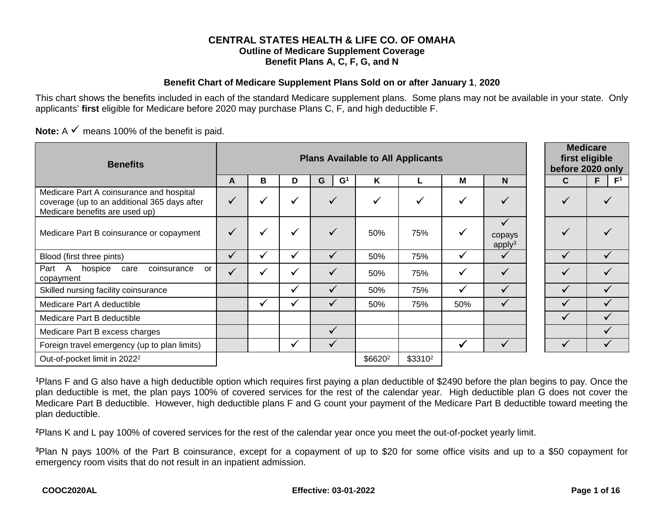#### **CENTRAL STATES HEALTH & LIFE CO. OF OMAHA Outline of Medicare Supplement Coverage Benefit Plans A, C, F, G, and N**

#### **Benefit Chart of Medicare Supplement Plans Sold on or after January 1**, **2020**

This chart shows the benefits included in each of the standard Medicare supplement plans. Some plans may not be available in your state. Only applicants' **first** eligible for Medicare before 2020 may purchase Plans C, F, and high deductible F.

**Note:**  $A \times \text{means } 100\%$  of the benefit is paid.

| <b>Benefits</b>                                                                                                            |              | <b>Plans Available to All Applicants</b> |              |              |                     |                     |              |                              |              |                      |
|----------------------------------------------------------------------------------------------------------------------------|--------------|------------------------------------------|--------------|--------------|---------------------|---------------------|--------------|------------------------------|--------------|----------------------|
|                                                                                                                            | A            | в                                        | D            | G<br>G       | K                   |                     | M            | N                            | C            | F <sup>1</sup><br>F. |
| Medicare Part A coinsurance and hospital<br>coverage (up to an additional 365 days after<br>Medicare benefits are used up) | $\checkmark$ | √                                        | ✓            |              |                     | $\checkmark$        | $\checkmark$ |                              |              |                      |
| Medicare Part B coinsurance or copayment                                                                                   | $\checkmark$ | $\checkmark$                             | $\checkmark$ |              | 50%                 | 75%                 | ✓            | copays<br>apply <sup>3</sup> |              |                      |
| Blood (first three pints)                                                                                                  | ✓            | ✔                                        | ✓            | $\checkmark$ | 50%                 | 75%                 | ✓            |                              |              |                      |
| Part<br>$\mathsf{A}$<br>hospice<br>coinsurance<br>care<br>or<br>copayment                                                  |              | $\checkmark$                             | $\checkmark$ | $\checkmark$ | 50%                 | 75%                 | $\checkmark$ |                              |              |                      |
| Skilled nursing facility coinsurance                                                                                       |              |                                          | ✓            | ✓            | 50%                 | 75%                 | ✓            |                              |              |                      |
| Medicare Part A deductible                                                                                                 |              | $\checkmark$                             | ✔            | $\checkmark$ | 50%                 | 75%                 | 50%          |                              |              |                      |
| Medicare Part B deductible                                                                                                 |              |                                          |              |              |                     |                     |              |                              | $\checkmark$ |                      |
| Medicare Part B excess charges                                                                                             |              |                                          |              | ✓            |                     |                     |              |                              |              |                      |
| Foreign travel emergency (up to plan limits)                                                                               |              |                                          | $\checkmark$ | $\checkmark$ |                     |                     | ✔            |                              |              |                      |
| Out-of-pocket limit in 2022 <sup>2</sup>                                                                                   |              |                                          |              |              | \$6620 <sup>2</sup> | \$3310 <sup>2</sup> |              |                              |              |                      |

**<sup>1</sup>**Plans F and G also have a high deductible option which requires first paying a plan deductible of \$2490 before the plan begins to pay. Once the plan deductible is met, the plan pays 100% of covered services for the rest of the calendar year. High deductible plan G does not cover the Medicare Part B deductible. However, high deductible plans F and G count your payment of the Medicare Part B deductible toward meeting the plan deductible.

**<sup>2</sup>**Plans K and L pay 100% of covered services for the rest of the calendar year once you meet the out-of-pocket yearly limit.

**<sup>3</sup>**Plan N pays 100% of the Part B coinsurance, except for a copayment of up to \$20 for some office visits and up to a \$50 copayment for emergency room visits that do not result in an inpatient admission.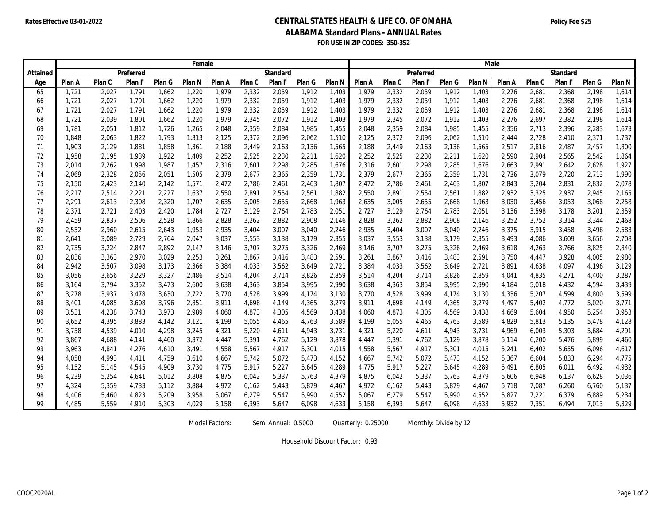#### **Rates Effective 03-01-2022 Policy Fee \$25 CENTRAL STATES HEALTH & LIFE CO. OF OMAHA ALABAMA Standard Plans - ANNUAL Rates FOR USE IN ZIP CODES: 350-352**

|          | Female |        |           |        |        |        |        | Male            |        |                   |        |        |           |        |        |        |        |                 |        |                   |
|----------|--------|--------|-----------|--------|--------|--------|--------|-----------------|--------|-------------------|--------|--------|-----------|--------|--------|--------|--------|-----------------|--------|-------------------|
| Attained |        |        | Preferred |        |        |        |        | <b>Standard</b> |        |                   |        |        | Preferred |        |        |        |        | <b>Standard</b> |        |                   |
| Age      | Plan A | Plan C | Plan F    | Plan G | Plan N | Plan A | Plan C | Plan F          | Plan G | Plan <sub>N</sub> | Plan A | Plan C | Plan F    | Plan G | Plan N | Plan A | Plan C | Plan F          | Plan G | Plan <sub>N</sub> |
| 65       | 1,721  | 2,027  | 1,791     | 1,662  | 1,220  | 1,979  | 2,332  | 2,059           | 1,912  | 1,403             | 1,979  | 2,332  | 2,059     | 1,912  | 1,403  | 2,276  | 2,681  | 2,368           | 2,198  | 1,614             |
| 66       | 1,721  | 2,027  | 1,791     | 1,662  | 1,220  | 1,979  | 2,332  | 2,059           | 1,912  | 1,403             | 1,979  | 2,332  | 2,059     | 1,912  | 1,403  | 2,276  | 2,681  | 2,368           | 2,198  | 1,614             |
| 67       | 1,721  | 2,027  | 1,791     | 1,662  | 1,220  | 1,979  | 2,332  | 2,059           | 1,912  | 1,403             | 1,979  | 2,332  | 2,059     | 1,912  | 1,403  | 2,276  | 2,681  | 2,368           | 2,198  | 1,614             |
| 68       | 1,721  | 2,039  | 1,801     | 1,662  | 1,220  | 1,979  | 2,345  | 2,072           | 1,912  | 1,403             | 1,979  | 2,345  | 2,072     | 1,912  | 1,403  | 2,276  | 2,697  | 2,382           | 2,198  | 1,614             |
| 69       | 1,781  | 2,051  | 1,812     | 1,726  | 1,265  | 2,048  | 2,359  | 2,084           | 1,985  | 1,455             | 2,048  | 2,359  | 2,084     | 1,985  | 1,455  | 2,356  | 2,713  | 2,396           | 2,283  | 1,673             |
| 70       | 1,848  | 2,063  | 1,822     | 1,793  | 1,313  | 2,125  | 2,372  | 2,096           | 2,062  | 1,510             | 2,125  | 2,372  | 2,096     | 2,062  | 1,510  | 2,444  | 2,728  | 2,410           | 2,371  | 1,737             |
| 71       | 1,903  | 2,129  | 1,881     | 1,858  | 1,361  | 2,188  | 2,449  | 2,163           | 2,136  | 1,565             | 2,188  | 2,449  | 2,163     | 2,136  | 1,565  | 2,517  | 2,816  | 2,487           | 2,457  | 1,800             |
| 72       | 1,958  | 2,195  | 1,939     | 1,922  | 1,409  | 2,252  | 2,525  | 2,230           | 2,211  | 1,620             | 2,252  | 2,525  | 2,230     | 2,211  | 1,620  | 2,590  | 2,904  | 2,565           | 2,542  | 1,864             |
| 73       | 2,014  | 2,262  | 1,998     | 1,987  | 1,457  | 2,316  | 2,601  | 2,298           | 2,285  | 1,676             | 2,316  | 2,601  | 2,298     | 2,285  | 1,676  | 2,663  | 2,991  | 2,642           | 2,628  | 1,927             |
| 74       | 2,069  | 2,328  | 2,056     | 2,051  | 1,505  | 2,379  | 2,677  | 2,365           | 2,359  | 1,731             | 2,379  | 2,677  | 2,365     | 2,359  | 1,731  | 2,736  | 3,079  | 2,720           | 2,713  | 1,990             |
| 75       | 2,150  | 2,423  | 2,140     | 2,142  | 1,571  | 2,472  | 2,786  | 2,461           | 2,463  | 1,807             | 2,472  | 2,786  | 2,461     | 2,463  | 1,807  | 2,843  | 3,204  | 2,831           | 2,832  | 2,078             |
| 76       | 2,217  | 2,514  | 2,221     | 2,227  | 1,637  | 2,550  | 2,891  | 2,554           | 2,561  | 1,882             | 2,550  | 2,891  | 2,554     | 2,561  | 1,882  | 2,932  | 3,325  | 2,937           | 2,945  | 2,165             |
| 77       | 2,291  | 2,613  | 2,308     | 2,320  | 1,707  | 2,635  | 3,005  | 2,655           | 2,668  | 1,963             | 2,635  | 3,005  | 2,655     | 2,668  | 1,963  | 3,030  | 3,456  | 3,053           | 3,068  | 2,258             |
| 78       | 2,371  | 2,721  | 2,403     | 2,420  | 1,784  | 2,727  | 3,129  | 2,764           | 2,783  | 2,051             | 2,727  | 3,129  | 2,764     | 2,783  | 2,051  | 3,136  | 3,598  | 3,178           | 3,201  | 2,359             |
| 79       | 2,459  | 2,837  | 2,506     | 2,528  | 1,866  | 2,828  | 3,262  | 2,882           | 2,908  | 2,146             | 2,828  | 3,262  | 2,882     | 2,908  | 2,146  | 3,252  | 3,752  | 3,314           | 3,344  | 2,468             |
| 80       | 2,552  | 2,960  | 2,615     | 2,643  | 1,953  | 2,935  | 3,404  | 3,007           | 3,040  | 2,246             | 2,935  | 3,404  | 3,007     | 3,040  | 2,246  | 3,375  | 3,915  | 3,458           | 3,496  | 2,583             |
| 81       | 2,641  | 3,089  | 2,729     | 2,764  | 2,047  | 3,037  | 3,553  | 3,138           | 3,179  | 2,355             | 3,037  | 3,553  | 3,138     | 3,179  | 2,355  | 3,493  | 4,086  | 3,609           | 3,656  | 2,708             |
| 82       | 2,735  | 3,224  | 2,847     | 2,892  | 2,147  | 3,146  | 3,707  | 3,275           | 3,326  | 2,469             | 3,146  | 3,707  | 3,275     | 3,326  | 2,469  | 3,618  | 4,263  | 3,766           | 3,825  | 2,840             |
| 83       | 2,836  | 3,363  | 2,970     | 3,029  | 2,253  | 3,261  | 3,867  | 3,416           | 3,483  | 2,591             | 3,261  | 3,867  | 3,416     | 3,483  | 2,591  | 3,750  | 4,447  | 3,928           | 4,005  | 2,980             |
| 84       | 2,942  | 3,507  | 3,098     | 3,173  | 2,366  | 3,384  | 4,033  | 3,562           | 3,649  | 2,721             | 3,384  | 4,033  | 3,562     | 3,649  | 2,721  | 3,891  | 4,638  | 4,097           | 4,196  | 3,129             |
| 85       | 3,056  | 3,656  | 3,229     | 3,327  | 2,486  | 3,514  | 4,204  | 3,714           | 3,826  | 2,859             | 3,514  | 4,204  | 3,714     | 3,826  | 2,859  | 4,041  | 4,835  | 4,271           | 4,400  | 3,287             |
| 86       | 3,164  | 3,794  | 3,352     | 3,473  | 2,600  | 3,638  | 4,363  | 3,854           | 3,995  | 2,990             | 3,638  | 4,363  | 3,854     | 3,995  | 2,990  | 4,184  | 5,018  | 4,432           | 4,594  | 3,439             |
| 87       | 3,278  | 3,937  | 3,478     | 3,630  | 2,722  | 3,770  | 4,528  | 3,999           | 4,174  | 3,130             | 3,770  | 4,528  | 3,999     | 4,174  | 3,130  | 4,336  | 5,207  | 4,599           | 4,800  | 3,599             |
| 88       | 3,401  | 4,085  | 3,608     | 3,796  | 2,851  | 3,911  | 4,698  | 4,149           | 4,365  | 3,279             | 3,911  | 4,698  | 4,149     | 4,365  | 3,279  | 4,497  | 5,402  | 4,772           | 5,020  | 3,771             |
| 89       | 3,531  | 4,238  | 3,743     | 3,973  | 2,989  | 4,060  | 4,873  | 4,305           | 4,569  | 3,438             | 4,060  | 4,873  | 4,305     | 4,569  | 3,438  | 4,669  | 5,604  | 4,950           | 5,254  | 3,953             |
| 90       | 3,652  | 4,395  | 3,883     | 4,142  | 3,121  | 4,199  | 5,055  | 4,465           | 4,763  | 3,589             | 4,199  | 5,055  | 4,465     | 4,763  | 3,589  | 4,829  | 5,813  | 5,135           | 5,478  | 4,128             |
| 91       | 3,758  | 4,539  | 4,010     | 4,298  | 3,245  | 4,321  | 5,220  | 4,611           | 4,943  | 3,731             | 4,321  | 5,220  | 4,611     | 4,943  | 3,731  | 4,969  | 6,003  | 5,303           | 5,684  | 4,291             |
| 92       | 3,867  | 4,688  | 4,141     | 4,460  | 3,372  | 4,447  | 5,391  | 4,762           | 5,129  | 3,878             | 4,447  | 5,391  | 4,762     | 5,129  | 3,878  | 5,114  | 6,200  | 5,476           | 5,899  | 4,460             |
| 93       | 3,963  | 4,841  | 4,276     | 4,610  | 3,491  | 4,558  | 5,567  | 4,917           | 5,301  | 4,015             | 4,558  | 5,567  | 4,917     | 5,301  | 4,015  | 5,241  | 6,402  | 5,655           | 6,096  | 4,617             |
| 94       | 4,058  | 4,993  | 4,411     | 4,759  | 3,610  | 4,667  | 5,742  | 5,072           | 5,473  | 4,152             | 4,667  | 5,742  | 5,072     | 5,473  | 4,152  | 5,367  | 6,604  | 5,833           | 6,294  | 4,775             |
| 95       | 4,152  | 5,145  | 4,545     | 4,909  | 3,730  | 4,775  | 5,917  | 5,227           | 5,645  | 4,289             | 4,775  | 5,917  | 5,227     | 5,645  | 4,289  | 5,491  | 6,805  | 6,011           | 6,492  | 4,932             |
| 96       | 4,239  | 5,254  | 4,641     | 5,012  | 3,808  | 4,875  | 6,042  | 5,337           | 5,763  | 4,379             | 4,875  | 6,042  | 5,337     | 5,763  | 4,379  | 5,606  | 6,948  | 6,137           | 6,628  | 5,036             |
| 97       | 4,324  | 5,359  | 4,733     | 5,112  | 3,884  | 4,972  | 6,162  | 5,443           | 5,879  | 4,467             | 4,972  | 6,162  | 5,443     | 5,879  | 4,467  | 5,718  | 7,087  | 6,260           | 6,760  | 5,137             |
| 98       | 4,406  | 5,460  | 4,823     | 5,209  | 3,958  | 5,067  | 6,279  | 5,547           | 5,990  | 4,552             | 5,067  | 6,279  | 5,547     | 5,990  | 4,552  | 5,827  | 7,221  | 6,379           | 6,889  | 5,234             |
| 99       | 4.485  | 5.559  | 4.910     | 5,303  | 4,029  | 5.158  | 6,393  | 5,647           | 6,098  | 4,633             | 5.158  | 6,393  | 5,647     | 6,098  | 4,633  | 5,932  | 7,351  | 6.494           | 7.013  | 5,329             |

Modal Factors: Semi Annual: 0.5000 Quarterly: 0.25000 Monthly: Divide by 12

Household Discount Factor: 0.93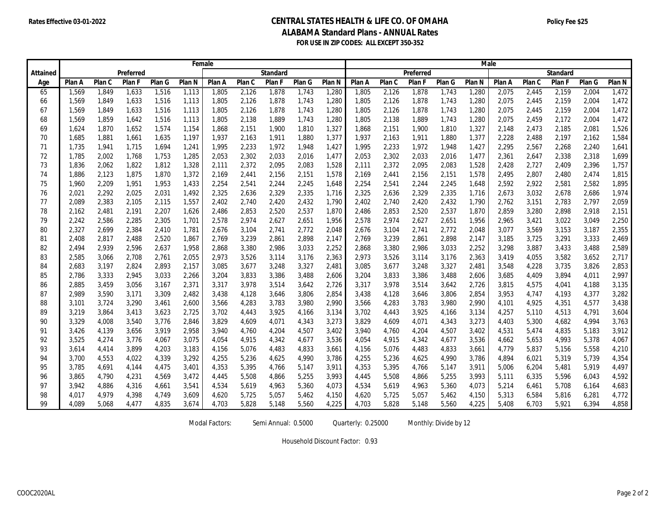#### **Rates Effective 03-01-2022 Policy Fee \$25 CENTRAL STATES HEALTH & LIFE CO. OF OMAHA ALABAMA Standard Plans - ANNUAL Rates FOR USE IN ZIP CODES: ALL EXCEPT 350-352**

|          | Female |        |           |        |                   |        |        | Male            |        |        |        |        |           |        |                   |        |        |                 |        |        |
|----------|--------|--------|-----------|--------|-------------------|--------|--------|-----------------|--------|--------|--------|--------|-----------|--------|-------------------|--------|--------|-----------------|--------|--------|
| Attained |        |        | Preferred |        |                   |        |        | <b>Standard</b> |        |        |        |        | Preferred |        |                   |        |        | <b>Standard</b> |        |        |
| Age      | Plan A | Plan C | Plan F    | Plan G | Plan <sub>N</sub> | Plan A | Plan C | Plan F          | Plan G | Plan N | Plan A | Plan C | Plan F    | Plan G | Plan <sub>N</sub> | Plan A | Plan C | Plan F          | Plan G | Plan N |
| 65       | 1,569  | 1,849  | 1,633     | 1,516  | 1,113             | 1,805  | 2,126  | 1,878           | 1,743  | 1,280  | 1,805  | 2,126  | 1,878     | 1,743  | 1,280             | 2,075  | 2,445  | 2,159           | 2,004  | 1,472  |
| 66       | 1,569  | 1,849  | 1,633     | 1,516  | 1,113             | 1,805  | 2,126  | 1,878           | 1,743  | 1,280  | 1,805  | 2,126  | 1,878     | 1,743  | 1,280             | 2,075  | 2,445  | 2,159           | 2,004  | 1,472  |
| 67       | 1,569  | 1,849  | 1,633     | 1,516  | 1,113             | 1,805  | 2,126  | 1,878           | 1,743  | 1,280  | 1,805  | 2,126  | 1,878     | 1,743  | 1,280             | 2,075  | 2,445  | 2,159           | 2,004  | 1,472  |
| 68       | 1,569  | 1,859  | 1,642     | 1,516  | 1,113             | 1,805  | 2,138  | 1,889           | 1,743  | 1,280  | 1,805  | 2,138  | 1,889     | 1,743  | 1,280             | 2,075  | 2,459  | 2,172           | 2,004  | 1,472  |
| 69       | 1,624  | 1,870  | 1,652     | 1,574  | 1,154             | 1,868  | 2,151  | 1,900           | 1,810  | 1,327  | 1,868  | 2,151  | 1,900     | 1,810  | 1,327             | 2,148  | 2,473  | 2,185           | 2,081  | 1,526  |
| 70       | 1,685  | 1,881  | 1,661     | 1,635  | 1,197             | 1,937  | 2,163  | 1,911           | 1,880  | 1,377  | 1,937  | 2,163  | 1,911     | 1,880  | 1,377             | 2,228  | 2,488  | 2,197           | 2,162  | 1,584  |
| 71       | 1,735  | 1,941  | 1,715     | 1,694  | 1,241             | 1,995  | 2,233  | 1,972           | 1,948  | 1,427  | 1,995  | 2,233  | 1,972     | 1,948  | 1,427             | 2,295  | 2,567  | 2,268           | 2,240  | 1,641  |
| 72       | 1,785  | 2,002  | 1,768     | 1,753  | 1,285             | 2,053  | 2,302  | 2,033           | 2,016  | 1,477  | 2,053  | 2,302  | 2,033     | 2,016  | 1,477             | 2,361  | 2,647  | 2,338           | 2,318  | 1,699  |
| 73       | 1,836  | 2,062  | 1,822     | 1,812  | 1,328             | 2,111  | 2,372  | 2,095           | 2,083  | 1,528  | 2,111  | 2,372  | 2,095     | 2,083  | 1,528             | 2,428  | 2,727  | 2,409           | 2,396  | 1,757  |
| 74       | 1,886  | 2,123  | 1,875     | 1,870  | 1,372             | 2,169  | 2,441  | 2,156           | 2,151  | 1,578  | 2,169  | 2,441  | 2,156     | 2,151  | 1,578             | 2,495  | 2,807  | 2,480           | 2,474  | 1,815  |
| 75       | 1,960  | 2,209  | 1,951     | 1,953  | 1,433             | 2,254  | 2,541  | 2,244           | 2,245  | 1,648  | 2,254  | 2,541  | 2,244     | 2,245  | 1,648             | 2,592  | 2,922  | 2,581           | 2,582  | 1,895  |
| 76       | 2,021  | 2,292  | 2,025     | 2,031  | 1,492             | 2,325  | 2,636  | 2,329           | 2,335  | 1,716  | 2,325  | 2,636  | 2,329     | 2,335  | 1,716             | 2,673  | 3,032  | 2,678           | 2,686  | 1,974  |
| 77       | 2,089  | 2,383  | 2,105     | 2,115  | 1,557             | 2,402  | 2,740  | 2,420           | 2,432  | 1,790  | 2,402  | 2,740  | 2,420     | 2,432  | 1,790             | 2,762  | 3,151  | 2,783           | 2,797  | 2,059  |
| 78       | 2,162  | 2,481  | 2,191     | 2,207  | 1,626             | 2,486  | 2,853  | 2,520           | 2,537  | 1,870  | 2,486  | 2,853  | 2,520     | 2,537  | 1,870             | 2,859  | 3,280  | 2,898           | 2,918  | 2,151  |
| 79       | 2,242  | 2,586  | 2,285     | 2,305  | 1,701             | 2,578  | 2,974  | 2,627           | 2,651  | 1,956  | 2,578  | 2,974  | 2,627     | 2,651  | 1,956             | 2,965  | 3,421  | 3,022           | 3,049  | 2,250  |
| 80       | 2,327  | 2,699  | 2,384     | 2,410  | 1,781             | 2,676  | 3,104  | 2,741           | 2,772  | 2,048  | 2,676  | 3,104  | 2,741     | 2,772  | 2,048             | 3,077  | 3,569  | 3,153           | 3,187  | 2,355  |
| 81       | 2,408  | 2,817  | 2,488     | 2,520  | 1,867             | 2,769  | 3,239  | 2,861           | 2,898  | 2,147  | 2,769  | 3,239  | 2,861     | 2,898  | 2,147             | 3,185  | 3,725  | 3,291           | 3,333  | 2,469  |
| 82       | 2,494  | 2,939  | 2,596     | 2,637  | 1,958             | 2,868  | 3,380  | 2,986           | 3,033  | 2,252  | 2,868  | 3,380  | 2,986     | 3,033  | 2,252             | 3,298  | 3,887  | 3,433           | 3,488  | 2,589  |
| 83       | 2,585  | 3,066  | 2,708     | 2,761  | 2,055             | 2,973  | 3,526  | 3,114           | 3,176  | 2,363  | 2,973  | 3,526  | 3,114     | 3,176  | 2,363             | 3,419  | 4,055  | 3,582           | 3,652  | 2,717  |
| 84       | 2,683  | 3,197  | 2,824     | 2,893  | 2,157             | 3,085  | 3,677  | 3,248           | 3,327  | 2,481  | 3,085  | 3,677  | 3,248     | 3,327  | 2,481             | 3,548  | 4,228  | 3,735           | 3,826  | 2,853  |
| 85       | 2,786  | 3,333  | 2,945     | 3,033  | 2,266             | 3,204  | 3,833  | 3,386           | 3,488  | 2,606  | 3,204  | 3,833  | 3,386     | 3,488  | 2,606             | 3,685  | 4,409  | 3,894           | 4,011  | 2,997  |
| 86       | 2,885  | 3,459  | 3,056     | 3,167  | 2,371             | 3,317  | 3,978  | 3,514           | 3,642  | 2,726  | 3,317  | 3,978  | 3,514     | 3,642  | 2,726             | 3,815  | 4,575  | 4,041           | 4,188  | 3,135  |
| 87       | 2,989  | 3,590  | 3,171     | 3,309  | 2,482             | 3,438  | 4,128  | 3,646           | 3,806  | 2,854  | 3,438  | 4,128  | 3,646     | 3,806  | 2,854             | 3,953  | 4,747  | 4,193           | 4,377  | 3,282  |
| 88       | 3,101  | 3,724  | 3,290     | 3,461  | 2,600             | 3,566  | 4,283  | 3,783           | 3,980  | 2,990  | 3,566  | 4,283  | 3,783     | 3,980  | 2,990             | 4,101  | 4,925  | 4,351           | 4,577  | 3,438  |
| 89       | 3,219  | 3,864  | 3,413     | 3,623  | 2,725             | 3,702  | 4,443  | 3,925           | 4,166  | 3,134  | 3,702  | 4,443  | 3,925     | 4,166  | 3,134             | 4,257  | 5,110  | 4,513           | 4,791  | 3,604  |
| 90       | 3,329  | 4,008  | 3,540     | 3,776  | 2,846             | 3,829  | 4,609  | 4,071           | 4,343  | 3,273  | 3,829  | 4,609  | 4,071     | 4,343  | 3,273             | 4,403  | 5,300  | 4,682           | 4,994  | 3,763  |
| 91       | 3,426  | 4,139  | 3,656     | 3,919  | 2,958             | 3,940  | 4,760  | 4,204           | 4,507  | 3,402  | 3,940  | 4,760  | 4,204     | 4,507  | 3,402             | 4,531  | 5,474  | 4,835           | 5,183  | 3,912  |
| 92       | 3,525  | 4,274  | 3,776     | 4,067  | 3,075             | 4,054  | 4,915  | 4,342           | 4,677  | 3,536  | 4,054  | 4,915  | 4,342     | 4,677  | 3,536             | 4,662  | 5,653  | 4,993           | 5,378  | 4,067  |
| 93       | 3,614  | 4,414  | 3,899     | 4,203  | 3,183             | 4,156  | 5,076  | 4,483           | 4,833  | 3,661  | 4,156  | 5,076  | 4,483     | 4,833  | 3,661             | 4,779  | 5,837  | 5,156           | 5,558  | 4,210  |
| 94       | 3,700  | 4,553  | 4,022     | 4,339  | 3,292             | 4,255  | 5,236  | 4,625           | 4,990  | 3,786  | 4,255  | 5,236  | 4,625     | 4,990  | 3,786             | 4,894  | 6,021  | 5,319           | 5,739  | 4,354  |
| 95       | 3,785  | 4,691  | 4,144     | 4,475  | 3,401             | 4,353  | 5,395  | 4,766           | 5,147  | 3,911  | 4,353  | 5,395  | 4,766     | 5,147  | 3,911             | 5,006  | 6,204  | 5,481           | 5,919  | 4,497  |
| 96       | 3,865  | 4,790  | 4,231     | 4,569  | 3,472             | 4,445  | 5,508  | 4,866           | 5,255  | 3,993  | 4,445  | 5,508  | 4,866     | 5,255  | 3,993             | 5,111  | 6,335  | 5,596           | 6,043  | 4,592  |
| 97       | 3,942  | 4,886  | 4,316     | 4,661  | 3,541             | 4,534  | 5,619  | 4,963           | 5,360  | 4,073  | 4,534  | 5,619  | 4,963     | 5,360  | 4,073             | 5,214  | 6,461  | 5,708           | 6,164  | 4,683  |
| 98       | 4,017  | 4,979  | 4,398     | 4,749  | 3,609             | 4,620  | 5,725  | 5,057           | 5,462  | 4,150  | 4,620  | 5,725  | 5,057     | 5,462  | 4,150             | 5,313  | 6,584  | 5,816           | 6,281  | 4,772  |
| 99       | 4.089  | 5,068  | 4,477     | 4,835  | 3,674             | 4,703  | 5,828  | 5,148           | 5,560  | 4,225  | 4,703  | 5,828  | 5,148     | 5,560  | 4,225             | 5,408  | 6,703  | 5,921           | 6,394  | 4,858  |

Modal Factors: Semi Annual: 0.5000 Quarterly: 0.25000 Monthly: Divide by 12

Household Discount Factor: 0.93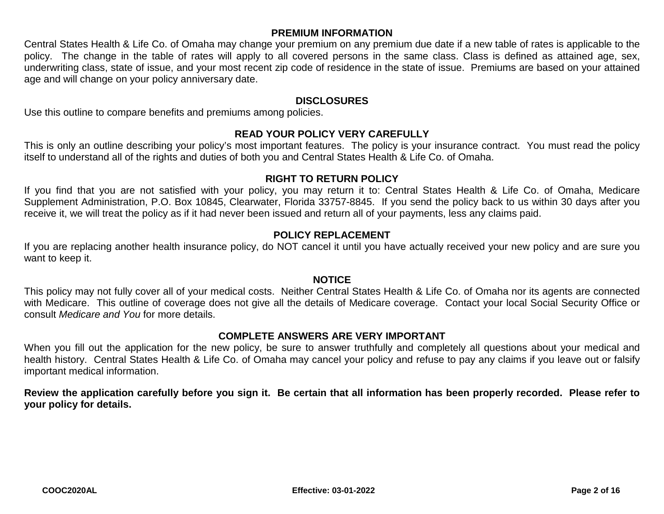# **PREMIUM INFORMATION**

Central States Health & Life Co. of Omaha may change your premium on any premium due date if a new table of rates is applicable to the policy. The change in the table of rates will apply to all covered persons in the same class. Class is defined as attained age, sex, underwriting class, state of issue, and your most recent zip code of residence in the state of issue. Premiums are based on your attained age and will change on your policy anniversary date.

#### **DISCLOSURES**

Use this outline to compare benefits and premiums among policies.

#### **READ YOUR POLICY VERY CAREFULLY**

This is only an outline describing your policy's most important features. The policy is your insurance contract. You must read the policy itself to understand all of the rights and duties of both you and Central States Health & Life Co. of Omaha.

## **RIGHT TO RETURN POLICY**

If you find that you are not satisfied with your policy, you may return it to: Central States Health & Life Co. of Omaha, Medicare Supplement Administration, P.O. Box 10845, Clearwater, Florida 33757-8845. If you send the policy back to us within 30 days after you receive it, we will treat the policy as if it had never been issued and return all of your payments, less any claims paid.

# **POLICY REPLACEMENT**

If you are replacing another health insurance policy, do NOT cancel it until you have actually received your new policy and are sure you want to keep it.

## **NOTICE**

This policy may not fully cover all of your medical costs. Neither Central States Health & Life Co. of Omaha nor its agents are connected with Medicare. This outline of coverage does not give all the details of Medicare coverage. Contact your local Social Security Office or consult *Medicare and You* for more details.

#### **COMPLETE ANSWERS ARE VERY IMPORTANT**

When you fill out the application for the new policy, be sure to answer truthfully and completely all questions about your medical and health history. Central States Health & Life Co. of Omaha may cancel your policy and refuse to pay any claims if you leave out or falsify important medical information.

**Review the application carefully before you sign it. Be certain that all information has been properly recorded. Please refer to your policy for details.**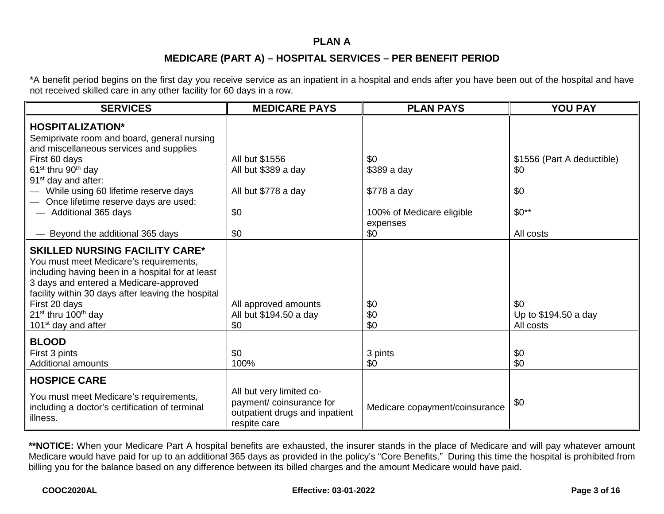#### **PLAN A**

# **MEDICARE (PART A) – HOSPITAL SERVICES – PER BENEFIT PERIOD**

\*A benefit period begins on the first day you receive service as an inpatient in a hospital and ends after you have been out of the hospital and have not received skilled care in any other facility for 60 days in a row.

| <b>SERVICES</b>                                                                                                                                                                                                                                                                                                              | <b>MEDICARE PAYS</b>                                                                                  | <b>PLAN PAYS</b>                      | <b>YOU PAY</b>                           |
|------------------------------------------------------------------------------------------------------------------------------------------------------------------------------------------------------------------------------------------------------------------------------------------------------------------------------|-------------------------------------------------------------------------------------------------------|---------------------------------------|------------------------------------------|
| <b>HOSPITALIZATION*</b><br>Semiprivate room and board, general nursing<br>and miscellaneous services and supplies                                                                                                                                                                                                            |                                                                                                       |                                       |                                          |
| First 60 days<br>61 <sup>st</sup> thru 90 <sup>th</sup> day<br>91 <sup>st</sup> day and after:                                                                                                                                                                                                                               | All but \$1556<br>All but \$389 a day                                                                 | \$0<br>\$389 a day                    | \$1556 (Part A deductible)<br>\$0        |
| While using 60 lifetime reserve days<br>Once lifetime reserve days are used:                                                                                                                                                                                                                                                 | All but \$778 a day                                                                                   | \$778 a day                           | \$0                                      |
| - Additional 365 days                                                                                                                                                                                                                                                                                                        | \$0                                                                                                   | 100% of Medicare eligible<br>expenses | $$0**$                                   |
| Beyond the additional 365 days                                                                                                                                                                                                                                                                                               | \$0                                                                                                   | \$0                                   | All costs                                |
| <b>SKILLED NURSING FACILITY CARE*</b><br>You must meet Medicare's requirements,<br>including having been in a hospital for at least<br>3 days and entered a Medicare-approved<br>facility within 30 days after leaving the hospital<br>First 20 days<br>$21st$ thru 100 <sup>th</sup> day<br>101 <sup>st</sup> day and after | All approved amounts<br>All but \$194.50 a day<br>\$0                                                 | \$0<br>\$0<br>\$0                     | \$0<br>Up to \$194.50 a day<br>All costs |
| <b>BLOOD</b><br>First 3 pints<br><b>Additional amounts</b>                                                                                                                                                                                                                                                                   | \$0<br>100%                                                                                           | 3 pints<br>\$0                        | \$0<br>\$0                               |
| <b>HOSPICE CARE</b>                                                                                                                                                                                                                                                                                                          |                                                                                                       |                                       |                                          |
| You must meet Medicare's requirements,<br>including a doctor's certification of terminal<br>illness.                                                                                                                                                                                                                         | All but very limited co-<br>payment/coinsurance for<br>outpatient drugs and inpatient<br>respite care | Medicare copayment/coinsurance        | \$0                                      |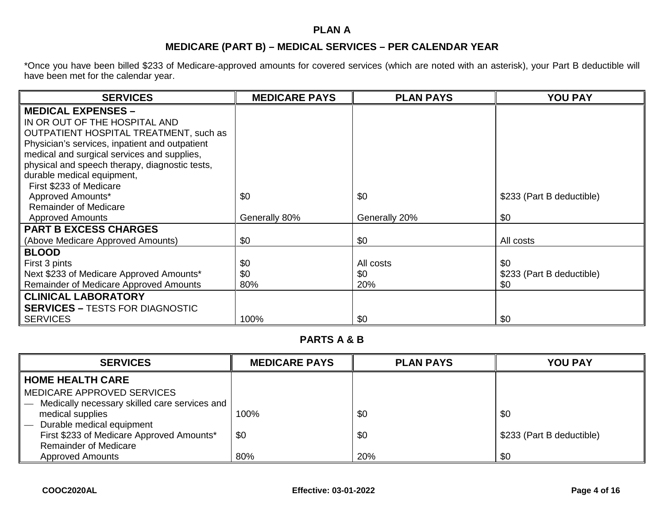# **PLAN A**

# **MEDICARE (PART B) – MEDICAL SERVICES – PER CALENDAR YEAR**

\*Once you have been billed \$233 of Medicare-approved amounts for covered services (which are noted with an asterisk), your Part B deductible will have been met for the calendar year.

| <b>SERVICES</b>                                | <b>MEDICARE PAYS</b> | <b>PLAN PAYS</b> | <b>YOU PAY</b>            |
|------------------------------------------------|----------------------|------------------|---------------------------|
| <b>MEDICAL EXPENSES -</b>                      |                      |                  |                           |
| IN OR OUT OF THE HOSPITAL AND                  |                      |                  |                           |
| <b>OUTPATIENT HOSPITAL TREATMENT, such as</b>  |                      |                  |                           |
| Physician's services, inpatient and outpatient |                      |                  |                           |
| medical and surgical services and supplies,    |                      |                  |                           |
| physical and speech therapy, diagnostic tests, |                      |                  |                           |
| durable medical equipment,                     |                      |                  |                           |
| First \$233 of Medicare                        |                      |                  |                           |
| Approved Amounts*                              | \$0                  | \$0              | \$233 (Part B deductible) |
| <b>Remainder of Medicare</b>                   |                      |                  |                           |
| <b>Approved Amounts</b>                        | Generally 80%        | Generally 20%    | \$0                       |
| <b>PART B EXCESS CHARGES</b>                   |                      |                  |                           |
| (Above Medicare Approved Amounts)              | \$0                  | \$0              | All costs                 |
| <b>BLOOD</b>                                   |                      |                  |                           |
| First 3 pints                                  | \$0                  | All costs        | \$0                       |
| Next \$233 of Medicare Approved Amounts*       | \$0                  | \$0              | \$233 (Part B deductible) |
| Remainder of Medicare Approved Amounts         | 80%                  | 20%              | \$0                       |
| <b>CLINICAL LABORATORY</b>                     |                      |                  |                           |
| <b>SERVICES - TESTS FOR DIAGNOSTIC</b>         |                      |                  |                           |
| <b>SERVICES</b>                                | 100%                 | \$0              | \$0                       |

# **PARTS A & B**

| <b>SERVICES</b>                               | <b>MEDICARE PAYS</b> | <b>PLAN PAYS</b> | <b>YOU PAY</b>            |
|-----------------------------------------------|----------------------|------------------|---------------------------|
| <b>HOME HEALTH CARE</b>                       |                      |                  |                           |
| MEDICARE APPROVED SERVICES                    |                      |                  |                           |
| Medically necessary skilled care services and |                      |                  |                           |
| medical supplies                              | 100%                 | \$0              | \$0                       |
| Durable medical equipment                     |                      |                  |                           |
| First \$233 of Medicare Approved Amounts*     | \$0                  | \$0              | \$233 (Part B deductible) |
| <b>Remainder of Medicare</b>                  |                      |                  |                           |
| <b>Approved Amounts</b>                       | 80%                  | 20%              | \$0                       |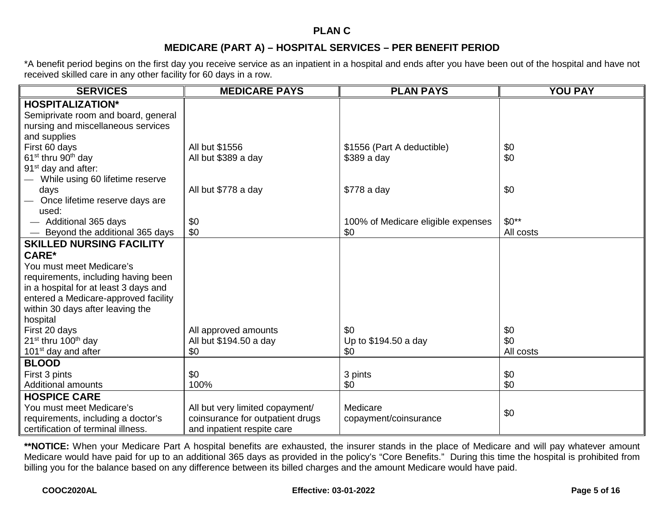#### **PLAN C**

# **MEDICARE (PART A) – HOSPITAL SERVICES – PER BENEFIT PERIOD**

\*A benefit period begins on the first day you receive service as an inpatient in a hospital and ends after you have been out of the hospital and have not received skilled care in any other facility for 60 days in a row.

| <b>SERVICES</b>                             | <b>MEDICARE PAYS</b>             | <b>PLAN PAYS</b>                   | <b>YOU PAY</b> |
|---------------------------------------------|----------------------------------|------------------------------------|----------------|
| <b>HOSPITALIZATION*</b>                     |                                  |                                    |                |
| Semiprivate room and board, general         |                                  |                                    |                |
| nursing and miscellaneous services          |                                  |                                    |                |
| and supplies                                |                                  |                                    |                |
| First 60 days                               | All but \$1556                   | \$1556 (Part A deductible)         | \$0            |
| $61st$ thru 90 <sup>th</sup> day            | All but \$389 a day              | $$389a$ day                        | \$0            |
| 91 <sup>st</sup> day and after:             |                                  |                                    |                |
| While using 60 lifetime reserve             |                                  |                                    |                |
| days                                        | All but \$778 a day              | \$778 a day                        | \$0            |
| Once lifetime reserve days are              |                                  |                                    |                |
| used:                                       |                                  |                                    |                |
| - Additional 365 days                       | \$0                              | 100% of Medicare eligible expenses | $$0**$         |
| Beyond the additional 365 days              | \$0                              | \$0                                | All costs      |
| <b>SKILLED NURSING FACILITY</b>             |                                  |                                    |                |
| <b>CARE*</b>                                |                                  |                                    |                |
| You must meet Medicare's                    |                                  |                                    |                |
| requirements, including having been         |                                  |                                    |                |
| in a hospital for at least 3 days and       |                                  |                                    |                |
| entered a Medicare-approved facility        |                                  |                                    |                |
| within 30 days after leaving the            |                                  |                                    |                |
| hospital                                    |                                  |                                    |                |
| First 20 days                               | All approved amounts             | \$0                                | \$0            |
| 21 <sup>st</sup> thru 100 <sup>th</sup> day | All but \$194.50 a day           | Up to \$194.50 a day               | \$0            |
| 101 <sup>st</sup> day and after             | \$0                              | \$0                                | All costs      |
| <b>BLOOD</b>                                |                                  |                                    |                |
| First 3 pints                               | \$0                              | 3 pints                            | \$0            |
| <b>Additional amounts</b>                   | 100%                             | \$0                                | \$0            |
| <b>HOSPICE CARE</b>                         |                                  |                                    |                |
| You must meet Medicare's                    | All but very limited copayment/  | Medicare                           |                |
| requirements, including a doctor's          | coinsurance for outpatient drugs | copayment/coinsurance              | \$0            |
| certification of terminal illness.          | and inpatient respite care       |                                    |                |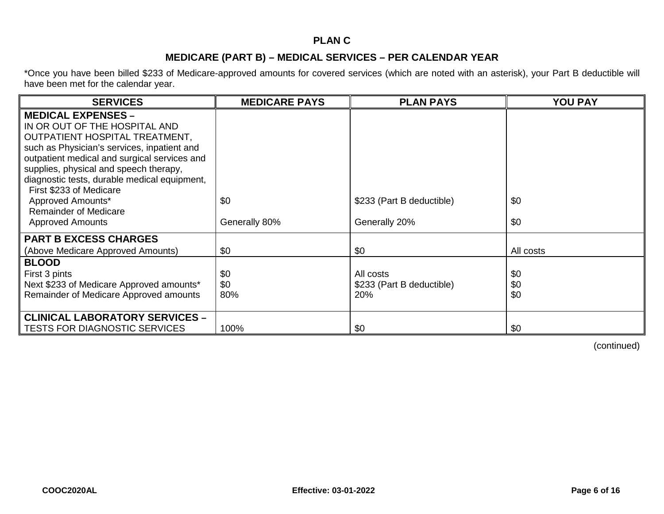# **PLAN C**

## **MEDICARE (PART B) – MEDICAL SERVICES – PER CALENDAR YEAR**

\*Once you have been billed \$233 of Medicare-approved amounts for covered services (which are noted with an asterisk), your Part B deductible will have been met for the calendar year.

| <b>SERVICES</b>                                                                                                                                                                                                                                                                                                                                                                                  | <b>MEDICARE PAYS</b> | <b>PLAN PAYS</b>                              | <b>YOU PAY</b>    |
|--------------------------------------------------------------------------------------------------------------------------------------------------------------------------------------------------------------------------------------------------------------------------------------------------------------------------------------------------------------------------------------------------|----------------------|-----------------------------------------------|-------------------|
| <b>MEDICAL EXPENSES -</b><br>IN OR OUT OF THE HOSPITAL AND<br>OUTPATIENT HOSPITAL TREATMENT,<br>such as Physician's services, inpatient and<br>outpatient medical and surgical services and<br>supplies, physical and speech therapy,<br>diagnostic tests, durable medical equipment,<br>First \$233 of Medicare<br>Approved Amounts*<br><b>Remainder of Medicare</b><br><b>Approved Amounts</b> | \$0<br>Generally 80% | \$233 (Part B deductible)<br>Generally 20%    | \$0<br>\$0        |
| <b>PART B EXCESS CHARGES</b><br>(Above Medicare Approved Amounts)                                                                                                                                                                                                                                                                                                                                | \$0                  | \$0                                           | All costs         |
| <b>BLOOD</b><br>First 3 pints<br>Next \$233 of Medicare Approved amounts*<br>Remainder of Medicare Approved amounts                                                                                                                                                                                                                                                                              | \$0<br>\$0<br>80%    | All costs<br>\$233 (Part B deductible)<br>20% | \$0<br>\$0<br>\$0 |
| <b>CLINICAL LABORATORY SERVICES -</b><br><b>TESTS FOR DIAGNOSTIC SERVICES</b>                                                                                                                                                                                                                                                                                                                    | 100%                 | \$0                                           | \$0               |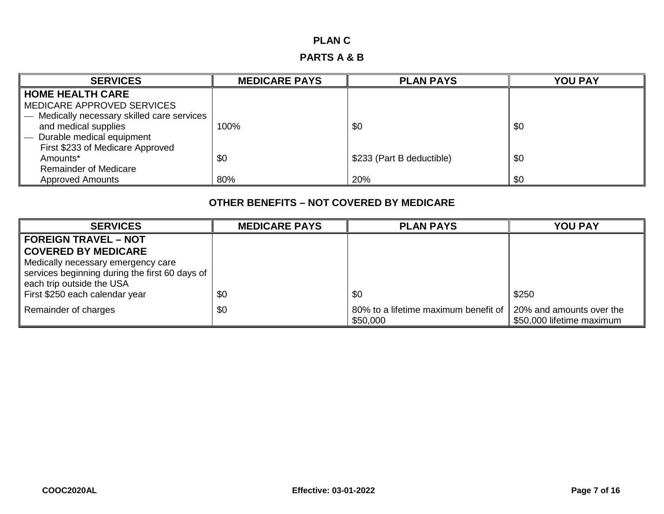## **PLAN C**

# **PARTS A & B**

| <b>SERVICES</b>                           | <b>MEDICARE PAYS</b> | <b>PLAN PAYS</b>          | <b>YOU PAY</b> |
|-------------------------------------------|----------------------|---------------------------|----------------|
| <b>HOME HEALTH CARE</b>                   |                      |                           |                |
| <b>MEDICARE APPROVED SERVICES</b>         |                      |                           |                |
| Medically necessary skilled care services |                      |                           |                |
| and medical supplies                      | 100%                 | \$0                       | \$0            |
| Durable medical equipment                 |                      |                           |                |
| First \$233 of Medicare Approved          |                      |                           |                |
| Amounts*                                  | \$0                  | \$233 (Part B deductible) | \$0            |
| <b>Remainder of Medicare</b>              |                      |                           |                |
| <b>Approved Amounts</b>                   | 80%                  | 20%                       | \$0            |

| <b>SERVICES</b>                                | <b>MEDICARE PAYS</b> | <b>PLAN PAYS</b>                                 | <b>YOU PAY</b>                                        |
|------------------------------------------------|----------------------|--------------------------------------------------|-------------------------------------------------------|
| <b>FOREIGN TRAVEL - NOT</b>                    |                      |                                                  |                                                       |
| <b>COVERED BY MEDICARE</b>                     |                      |                                                  |                                                       |
| Medically necessary emergency care             |                      |                                                  |                                                       |
| services beginning during the first 60 days of |                      |                                                  |                                                       |
| each trip outside the USA                      |                      |                                                  |                                                       |
| First \$250 each calendar year                 | \$0                  | \$0                                              | \$250                                                 |
| Remainder of charges                           | \$0                  | 80% to a lifetime maximum benefit of<br>\$50,000 | 20% and amounts over the<br>\$50,000 lifetime maximum |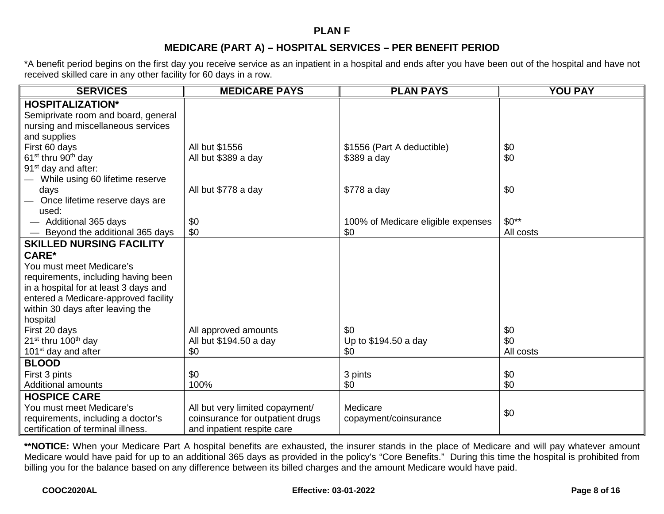#### **PLAN F**

# **MEDICARE (PART A) – HOSPITAL SERVICES – PER BENEFIT PERIOD**

\*A benefit period begins on the first day you receive service as an inpatient in a hospital and ends after you have been out of the hospital and have not received skilled care in any other facility for 60 days in a row.

| <b>SERVICES</b>                             | <b>MEDICARE PAYS</b>             | <b>PLAN PAYS</b>                   | <b>YOU PAY</b> |
|---------------------------------------------|----------------------------------|------------------------------------|----------------|
| <b>HOSPITALIZATION*</b>                     |                                  |                                    |                |
| Semiprivate room and board, general         |                                  |                                    |                |
| nursing and miscellaneous services          |                                  |                                    |                |
| and supplies                                |                                  |                                    |                |
| First 60 days                               | All but \$1556                   | \$1556 (Part A deductible)         | \$0            |
| $61st$ thru 90 <sup>th</sup> day            | All but \$389 a day              | $$389a$ day                        | \$0            |
| 91 <sup>st</sup> day and after:             |                                  |                                    |                |
| While using 60 lifetime reserve             |                                  |                                    |                |
| days                                        | All but \$778 a day              | \$778 a day                        | \$0            |
| Once lifetime reserve days are              |                                  |                                    |                |
| used:                                       |                                  |                                    |                |
| - Additional 365 days                       | \$0                              | 100% of Medicare eligible expenses | $$0**$         |
| Beyond the additional 365 days              | \$0                              | \$0                                | All costs      |
| <b>SKILLED NURSING FACILITY</b>             |                                  |                                    |                |
| <b>CARE*</b>                                |                                  |                                    |                |
| You must meet Medicare's                    |                                  |                                    |                |
| requirements, including having been         |                                  |                                    |                |
| in a hospital for at least 3 days and       |                                  |                                    |                |
| entered a Medicare-approved facility        |                                  |                                    |                |
| within 30 days after leaving the            |                                  |                                    |                |
| hospital                                    |                                  |                                    |                |
| First 20 days                               | All approved amounts             | \$0                                | \$0            |
| 21 <sup>st</sup> thru 100 <sup>th</sup> day | All but \$194.50 a day           | Up to \$194.50 a day               | \$0            |
| 101 <sup>st</sup> day and after             | \$0                              | \$0                                | All costs      |
| <b>BLOOD</b>                                |                                  |                                    |                |
| First 3 pints                               | \$0                              | 3 pints                            | \$0            |
| <b>Additional amounts</b>                   | 100%                             | \$0                                | \$0            |
| <b>HOSPICE CARE</b>                         |                                  |                                    |                |
| You must meet Medicare's                    | All but very limited copayment/  | Medicare                           |                |
| requirements, including a doctor's          | coinsurance for outpatient drugs | copayment/coinsurance              | \$0            |
| certification of terminal illness.          | and inpatient respite care       |                                    |                |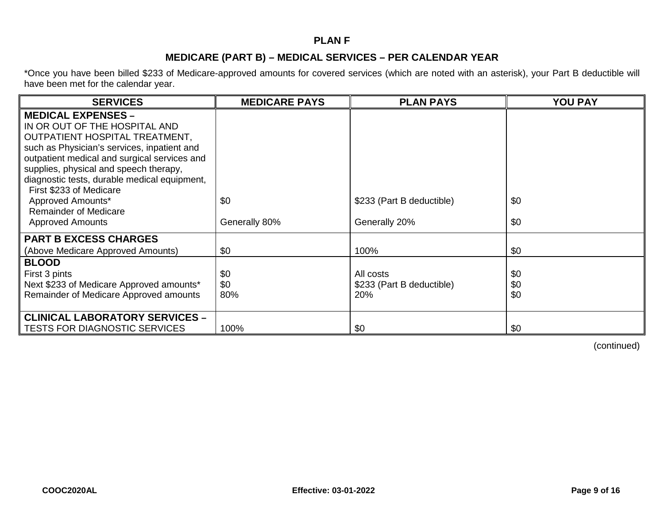# **PLAN F**

## **MEDICARE (PART B) – MEDICAL SERVICES – PER CALENDAR YEAR**

\*Once you have been billed \$233 of Medicare-approved amounts for covered services (which are noted with an asterisk), your Part B deductible will have been met for the calendar year.

| <b>SERVICES</b>                                                                                                                                                                                                                                                                                                  | <b>MEDICARE PAYS</b> | <b>PLAN PAYS</b>                           | <b>YOU PAY</b> |
|------------------------------------------------------------------------------------------------------------------------------------------------------------------------------------------------------------------------------------------------------------------------------------------------------------------|----------------------|--------------------------------------------|----------------|
| <b>MEDICAL EXPENSES -</b><br>IN OR OUT OF THE HOSPITAL AND<br>OUTPATIENT HOSPITAL TREATMENT,<br>such as Physician's services, inpatient and<br>outpatient medical and surgical services and<br>supplies, physical and speech therapy,<br>diagnostic tests, durable medical equipment,<br>First \$233 of Medicare |                      |                                            |                |
| Approved Amounts*<br><b>Remainder of Medicare</b><br><b>Approved Amounts</b>                                                                                                                                                                                                                                     | \$0<br>Generally 80% | \$233 (Part B deductible)<br>Generally 20% | \$0<br>\$0     |
| <b>PART B EXCESS CHARGES</b>                                                                                                                                                                                                                                                                                     |                      |                                            |                |
| (Above Medicare Approved Amounts)                                                                                                                                                                                                                                                                                | \$0                  | 100%                                       | \$0            |
| <b>BLOOD</b>                                                                                                                                                                                                                                                                                                     |                      |                                            |                |
| First 3 pints                                                                                                                                                                                                                                                                                                    | \$0                  | All costs                                  | \$0            |
| Next \$233 of Medicare Approved amounts*<br>Remainder of Medicare Approved amounts                                                                                                                                                                                                                               | \$0<br>80%           | \$233 (Part B deductible)<br>20%           | \$0<br>\$0     |
| <b>CLINICAL LABORATORY SERVICES -</b>                                                                                                                                                                                                                                                                            |                      |                                            |                |
| <b>TESTS FOR DIAGNOSTIC SERVICES</b>                                                                                                                                                                                                                                                                             | 100%                 | \$0                                        | \$0            |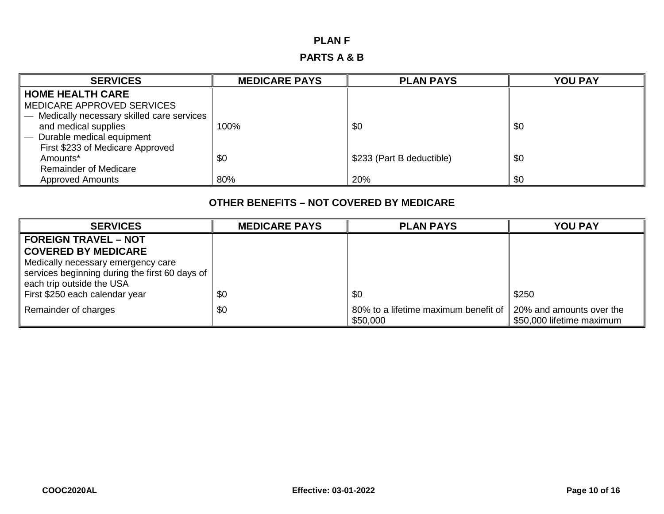# **PLAN F**

# **PARTS A & B**

| <b>SERVICES</b>                           | <b>MEDICARE PAYS</b> | <b>PLAN PAYS</b>          | <b>YOU PAY</b> |
|-------------------------------------------|----------------------|---------------------------|----------------|
| <b>HOME HEALTH CARE</b>                   |                      |                           |                |
| MEDICARE APPROVED SERVICES                |                      |                           |                |
| Medically necessary skilled care services |                      |                           |                |
| and medical supplies                      | 100%                 | \$0                       | \$0            |
| Durable medical equipment                 |                      |                           |                |
| First \$233 of Medicare Approved          |                      |                           |                |
| Amounts*                                  | \$0                  | \$233 (Part B deductible) | \$0            |
| <b>Remainder of Medicare</b>              |                      |                           |                |
| <b>Approved Amounts</b>                   | 80%                  | 20%                       | \$0            |

| <b>SERVICES</b>                                | <b>MEDICARE PAYS</b> | <b>PLAN PAYS</b>                                 | <b>YOU PAY</b>                                        |
|------------------------------------------------|----------------------|--------------------------------------------------|-------------------------------------------------------|
| <b>FOREIGN TRAVEL - NOT</b>                    |                      |                                                  |                                                       |
| <b>COVERED BY MEDICARE</b>                     |                      |                                                  |                                                       |
| Medically necessary emergency care             |                      |                                                  |                                                       |
| services beginning during the first 60 days of |                      |                                                  |                                                       |
| each trip outside the USA                      |                      |                                                  |                                                       |
| First \$250 each calendar year                 | \$0                  | \$0                                              | \$250                                                 |
| Remainder of charges                           | \$0                  | 80% to a lifetime maximum benefit of<br>\$50,000 | 20% and amounts over the<br>\$50,000 lifetime maximum |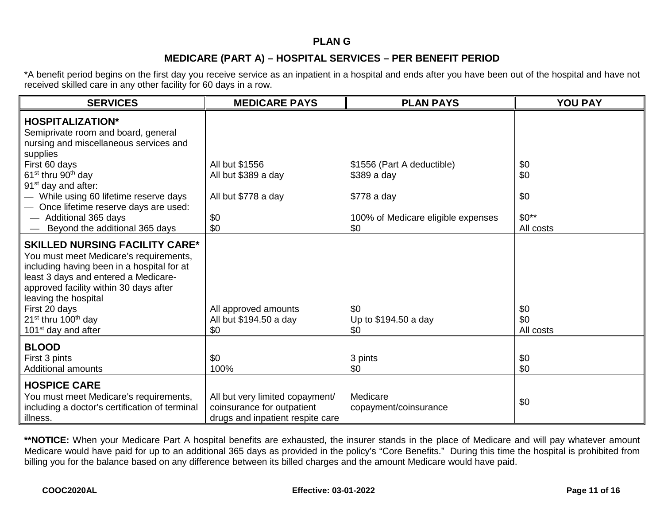#### **PLAN G**

## **MEDICARE (PART A) – HOSPITAL SERVICES – PER BENEFIT PERIOD**

\*A benefit period begins on the first day you receive service as an inpatient in a hospital and ends after you have been out of the hospital and have not received skilled care in any other facility for 60 days in a row.

| <b>SERVICES</b>                                                                                                                                                                                                                                                                                                                     | <b>MEDICARE PAYS</b>                                                                              | <b>PLAN PAYS</b>                   | <b>YOU PAY</b>          |
|-------------------------------------------------------------------------------------------------------------------------------------------------------------------------------------------------------------------------------------------------------------------------------------------------------------------------------------|---------------------------------------------------------------------------------------------------|------------------------------------|-------------------------|
| <b>HOSPITALIZATION*</b><br>Semiprivate room and board, general<br>nursing and miscellaneous services and<br>supplies                                                                                                                                                                                                                |                                                                                                   |                                    |                         |
| First 60 days                                                                                                                                                                                                                                                                                                                       | All but \$1556                                                                                    | \$1556 (Part A deductible)         | \$0                     |
| 61 <sup>st</sup> thru 90 <sup>th</sup> day<br>91 <sup>st</sup> day and after:                                                                                                                                                                                                                                                       | All but \$389 a day                                                                               | \$389 a day                        | \$0                     |
| - While using 60 lifetime reserve days<br>Once lifetime reserve days are used:                                                                                                                                                                                                                                                      | All but \$778 a day                                                                               | \$778 a day                        | \$0                     |
| - Additional 365 days                                                                                                                                                                                                                                                                                                               | \$0                                                                                               | 100% of Medicare eligible expenses | $$0**$$                 |
| Beyond the additional 365 days                                                                                                                                                                                                                                                                                                      | \$0                                                                                               | \$0                                | All costs               |
| <b>SKILLED NURSING FACILITY CARE*</b><br>You must meet Medicare's requirements,<br>including having been in a hospital for at<br>least 3 days and entered a Medicare-<br>approved facility within 30 days after<br>leaving the hospital<br>First 20 days<br>$21^{st}$ thru 100 <sup>th</sup> day<br>101 <sup>st</sup> day and after | All approved amounts<br>All but \$194.50 a day<br>\$0                                             | \$0<br>Up to \$194.50 a day<br>\$0 | \$0<br>\$0<br>All costs |
| <b>BLOOD</b><br>First 3 pints<br><b>Additional amounts</b>                                                                                                                                                                                                                                                                          | \$0<br>100%                                                                                       | 3 pints<br>\$0                     | \$0<br>\$0              |
| <b>HOSPICE CARE</b><br>You must meet Medicare's requirements,<br>including a doctor's certification of terminal<br>illness.                                                                                                                                                                                                         | All but very limited copayment/<br>coinsurance for outpatient<br>drugs and inpatient respite care | Medicare<br>copayment/coinsurance  | \$0                     |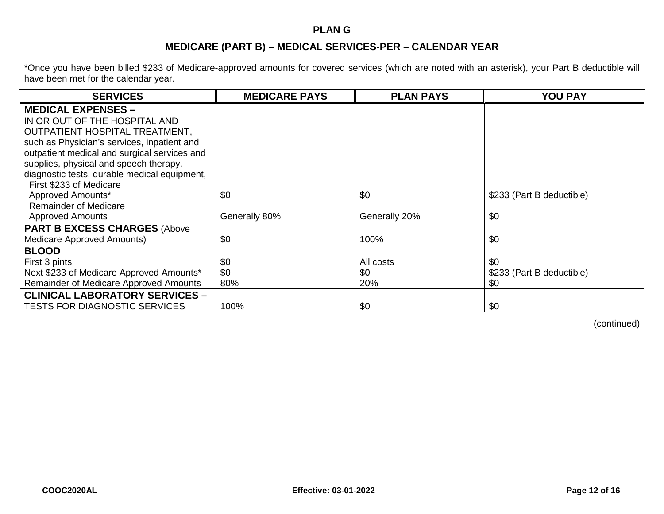## **PLAN G**

# **MEDICARE (PART B) – MEDICAL SERVICES-PER – CALENDAR YEAR**

\*Once you have been billed \$233 of Medicare-approved amounts for covered services (which are noted with an asterisk), your Part B deductible will have been met for the calendar year.

| <b>SERVICES</b>                              | <b>MEDICARE PAYS</b> | <b>PLAN PAYS</b> | <b>YOU PAY</b>            |
|----------------------------------------------|----------------------|------------------|---------------------------|
| <b>MEDICAL EXPENSES -</b>                    |                      |                  |                           |
| IN OR OUT OF THE HOSPITAL AND                |                      |                  |                           |
| OUTPATIENT HOSPITAL TREATMENT,               |                      |                  |                           |
| such as Physician's services, inpatient and  |                      |                  |                           |
| outpatient medical and surgical services and |                      |                  |                           |
| supplies, physical and speech therapy,       |                      |                  |                           |
| diagnostic tests, durable medical equipment, |                      |                  |                           |
| First \$233 of Medicare                      |                      |                  |                           |
| Approved Amounts*                            | \$0                  | \$0              | \$233 (Part B deductible) |
| <b>Remainder of Medicare</b>                 |                      |                  |                           |
| <b>Approved Amounts</b>                      | Generally 80%        | Generally 20%    | \$0                       |
| <b>PART B EXCESS CHARGES (Above</b>          |                      |                  |                           |
| Medicare Approved Amounts)                   | \$0                  | 100%             | \$0                       |
| <b>BLOOD</b>                                 |                      |                  |                           |
| First 3 pints                                | \$0                  | All costs        | \$0                       |
| Next \$233 of Medicare Approved Amounts*     | \$0                  | \$0              | \$233 (Part B deductible) |
| Remainder of Medicare Approved Amounts       | 80%                  | 20%              | \$0                       |
| <b>CLINICAL LABORATORY SERVICES -</b>        |                      |                  |                           |
| <b>TESTS FOR DIAGNOSTIC SERVICES</b>         | 100%                 | \$0              | \$0                       |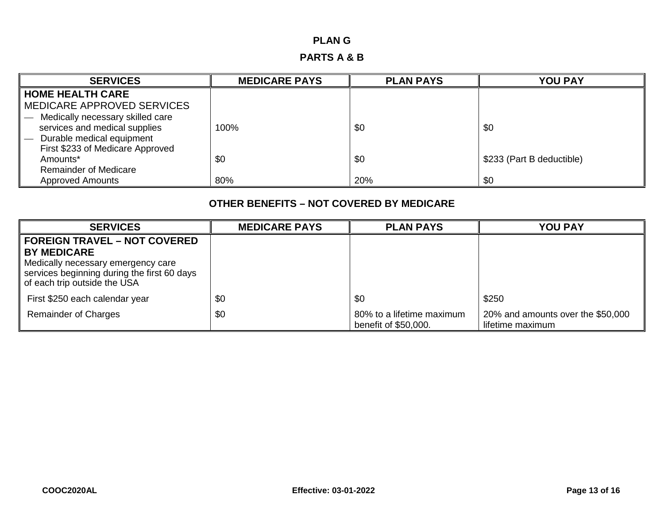# **PLAN G**

# **PARTS A & B**

| <b>SERVICES</b>                  | <b>MEDICARE PAYS</b> | <b>PLAN PAYS</b> | <b>YOU PAY</b>            |
|----------------------------------|----------------------|------------------|---------------------------|
| <b>HOME HEALTH CARE</b>          |                      |                  |                           |
| MEDICARE APPROVED SERVICES       |                      |                  |                           |
| Medically necessary skilled care |                      |                  |                           |
| services and medical supplies    | 100%                 | \$0              | \$0                       |
| Durable medical equipment        |                      |                  |                           |
| First \$233 of Medicare Approved |                      |                  |                           |
| Amounts*                         | \$0                  | \$0              | \$233 (Part B deductible) |
| <b>Remainder of Medicare</b>     |                      |                  |                           |
| <b>Approved Amounts</b>          | 80%                  | 20%              | \$0                       |

| <b>SERVICES</b>                                                                                                                         | <b>MEDICARE PAYS</b> | <b>PLAN PAYS</b>                                  | <b>YOU PAY</b>                                        |
|-----------------------------------------------------------------------------------------------------------------------------------------|----------------------|---------------------------------------------------|-------------------------------------------------------|
| <b>FOREIGN TRAVEL – NOT COVERED</b>                                                                                                     |                      |                                                   |                                                       |
| <b>BY MEDICARE</b><br>Medically necessary emergency care<br>services beginning during the first 60 days<br>of each trip outside the USA |                      |                                                   |                                                       |
| First \$250 each calendar year                                                                                                          | \$0                  | \$0                                               | \$250                                                 |
| <b>Remainder of Charges</b>                                                                                                             | \$0                  | 80% to a lifetime maximum<br>benefit of \$50,000. | 20% and amounts over the \$50,000<br>lifetime maximum |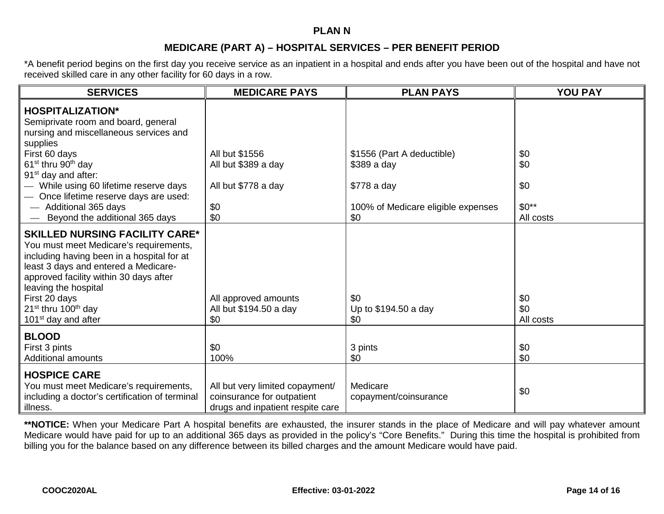#### **PLAN N**

# **MEDICARE (PART A) – HOSPITAL SERVICES – PER BENEFIT PERIOD**

\*A benefit period begins on the first day you receive service as an inpatient in a hospital and ends after you have been out of the hospital and have not received skilled care in any other facility for 60 days in a row.

| <b>SERVICES</b>                                                                                                                                                                                                                                                                                                                            | <b>MEDICARE PAYS</b>                                                                              | <b>PLAN PAYS</b>                                         | <b>YOU PAY</b>          |
|--------------------------------------------------------------------------------------------------------------------------------------------------------------------------------------------------------------------------------------------------------------------------------------------------------------------------------------------|---------------------------------------------------------------------------------------------------|----------------------------------------------------------|-------------------------|
| <b>HOSPITALIZATION*</b><br>Semiprivate room and board, general<br>nursing and miscellaneous services and<br>supplies<br>First 60 days<br>61 <sup>st</sup> thru 90 <sup>th</sup> day<br>91 <sup>st</sup> day and after:<br>- While using 60 lifetime reserve days                                                                           | All but \$1556<br>All but \$389 a day<br>All but \$778 a day                                      | \$1556 (Part A deductible)<br>\$389 a day<br>\$778 a day | \$0<br>\$0<br>\$0       |
| Once lifetime reserve days are used:<br>- Additional 365 days<br>Beyond the additional 365 days                                                                                                                                                                                                                                            | \$0<br>\$0                                                                                        | 100% of Medicare eligible expenses<br>\$0                | $$0**$<br>All costs     |
| <b>SKILLED NURSING FACILITY CARE*</b><br>You must meet Medicare's requirements,<br>including having been in a hospital for at<br>least 3 days and entered a Medicare-<br>approved facility within 30 days after<br>leaving the hospital<br>First 20 days<br>21 <sup>st</sup> thru 100 <sup>th</sup> day<br>101 <sup>st</sup> day and after | All approved amounts<br>All but \$194.50 a day<br>\$0                                             | \$0<br>Up to \$194.50 a day<br>\$0                       | \$0<br>\$0<br>All costs |
| <b>BLOOD</b><br>First 3 pints<br><b>Additional amounts</b>                                                                                                                                                                                                                                                                                 | \$0<br>100%                                                                                       | 3 pints<br>\$0                                           | \$0<br>\$0              |
| <b>HOSPICE CARE</b><br>You must meet Medicare's requirements,<br>including a doctor's certification of terminal<br>illness.                                                                                                                                                                                                                | All but very limited copayment/<br>coinsurance for outpatient<br>drugs and inpatient respite care | Medicare<br>copayment/coinsurance                        | \$0                     |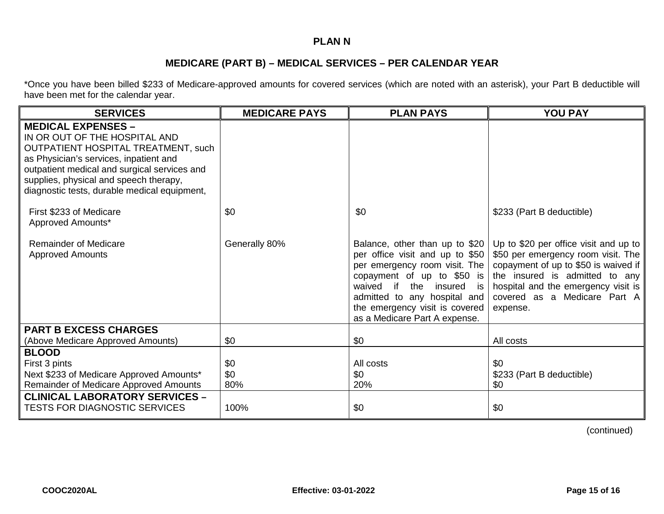# **PLAN N**

# **MEDICARE (PART B) – MEDICAL SERVICES – PER CALENDAR YEAR**

\*Once you have been billed \$233 of Medicare-approved amounts for covered services (which are noted with an asterisk), your Part B deductible will have been met for the calendar year.

| <b>SERVICES</b>                                                                                                                                                                                                                                                                              | <b>MEDICARE PAYS</b> | <b>PLAN PAYS</b>                                                                                                                                                                                                                                                   | <b>YOU PAY</b>                                                                                                                                                                                                                           |
|----------------------------------------------------------------------------------------------------------------------------------------------------------------------------------------------------------------------------------------------------------------------------------------------|----------------------|--------------------------------------------------------------------------------------------------------------------------------------------------------------------------------------------------------------------------------------------------------------------|------------------------------------------------------------------------------------------------------------------------------------------------------------------------------------------------------------------------------------------|
| <b>MEDICAL EXPENSES -</b><br>IN OR OUT OF THE HOSPITAL AND<br><b>OUTPATIENT HOSPITAL TREATMENT, such</b><br>as Physician's services, inpatient and<br>outpatient medical and surgical services and<br>supplies, physical and speech therapy,<br>diagnostic tests, durable medical equipment, |                      |                                                                                                                                                                                                                                                                    |                                                                                                                                                                                                                                          |
| First \$233 of Medicare<br>Approved Amounts*                                                                                                                                                                                                                                                 | \$0                  | \$0                                                                                                                                                                                                                                                                | \$233 (Part B deductible)                                                                                                                                                                                                                |
| <b>Remainder of Medicare</b><br><b>Approved Amounts</b>                                                                                                                                                                                                                                      | Generally 80%        | Balance, other than up to \$20<br>per office visit and up to \$50<br>per emergency room visit. The<br>copayment of up to \$50 is<br>waived if<br>the insured is<br>admitted to any hospital and<br>the emergency visit is covered<br>as a Medicare Part A expense. | Up to \$20 per office visit and up to<br>\$50 per emergency room visit. The<br>copayment of up to \$50 is waived if<br>the insured is admitted to any<br>hospital and the emergency visit is<br>covered as a Medicare Part A<br>expense. |
| <b>PART B EXCESS CHARGES</b>                                                                                                                                                                                                                                                                 |                      |                                                                                                                                                                                                                                                                    |                                                                                                                                                                                                                                          |
| (Above Medicare Approved Amounts)<br><b>BLOOD</b>                                                                                                                                                                                                                                            | \$0                  | \$0                                                                                                                                                                                                                                                                | All costs                                                                                                                                                                                                                                |
| First 3 pints<br>Next \$233 of Medicare Approved Amounts*<br>Remainder of Medicare Approved Amounts                                                                                                                                                                                          | \$0<br>\$0<br>80%    | All costs<br>\$0<br>20%                                                                                                                                                                                                                                            | \$0<br>\$233 (Part B deductible)<br>\$0                                                                                                                                                                                                  |
| <b>CLINICAL LABORATORY SERVICES -</b><br><b>TESTS FOR DIAGNOSTIC SERVICES</b>                                                                                                                                                                                                                | 100%                 | \$0                                                                                                                                                                                                                                                                | \$0                                                                                                                                                                                                                                      |